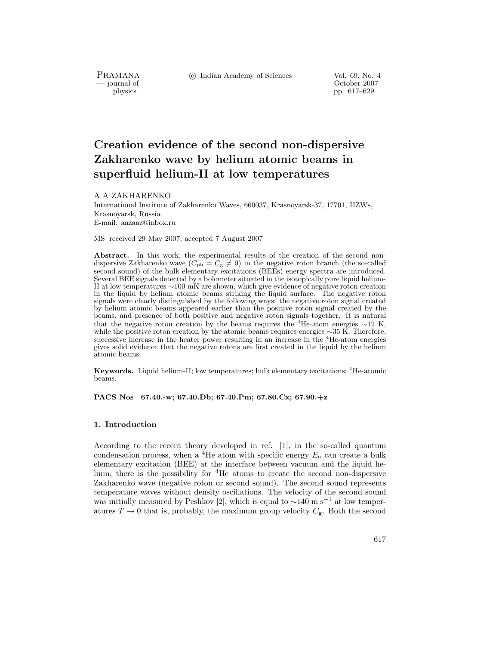PRAMANA<br>— journal of

c Indian Academy of Sciences Vol. 69, No. 4

physics<br>
and the contract of the contract of the contract of the contract of the contract of the contract of the contract of the contract of the contract of the contract of the contract of the contract of the contract of t physics pp. 617–629

# **Creation evidence of the second non-dispersive Zakharenko wave by helium atomic beams in superfluid helium-II at low temperatures**

## A A ZAKHARENKO

International Institute of Zakharenko Waves, 660037, Krasnoyarsk-37, 17701, IIZWs, Krasnoyarsk, Russia E-mail: aazaaz@inbox.ru

MS received 29 May 2007; accepted 7 August 2007

Abstract. In this work, the experimental results of the creation of the second nondispersive Zakharenko wave  $(C_{ph} = C_g \neq 0)$  in the negative roton branch (the so-called second sound) of the bulk elementary excitations (BEEs) energy spectra are introduced. Several BEE signals detected by a bolometer situated in the isotopically pure liquid helium-II at low temperatures ∼100 mK are shown, which give evidence of negative roton creation in the liquid by helium atomic beams striking the liquid surface. The negative roton signals were clearly distinguished by the following ways: the negative roton signal created by helium atomic beams appeared earlier than the positive roton signal created by the beams, and presence of both positive and negative roton signals together. It is natural that the negative roton creation by the beams requires the <sup>4</sup>He-atom energies ∼12 K, while the positive roton creation by the atomic beams requires energies  $\sim$ 35 K. Therefore, successive increase in the heater power resulting in an increase in the <sup>4</sup>He-atom energies gives solid evidence that the negative rotons are first created in the liquid by the helium atomic beams.

**Keywords.** Liquid helium-II; low temperatures; bulk elementary excitations; <sup>4</sup>He-atomic beams.

**PACS Nos 67.40.-w; 67.40.Db; 67.40.Pm; 67.80.Cx; 67.90.+z**

#### **1. Introduction**

According to the recent theory developed in ref. [1], in the so-called quantum condensation process, when a <sup>4</sup>He atom with specific energy  $E_a$  can create a bulk elementary excitation (BEE) at the interface between vacuum and the liquid helium, there is the possibility for <sup>4</sup>He atoms to create the second non-dispersive Zakharenko wave (negative roton or second sound). The second sound represents temperature waves without density oscillations. The velocity of the second sound was initially measured by Peshkov [2], which is equal to  $\sim$ 140 m s<sup>-1</sup> at low temperatures  $T \to 0$  that is, probably, the maximum group velocity  $C_{\rm g}$ . Both the second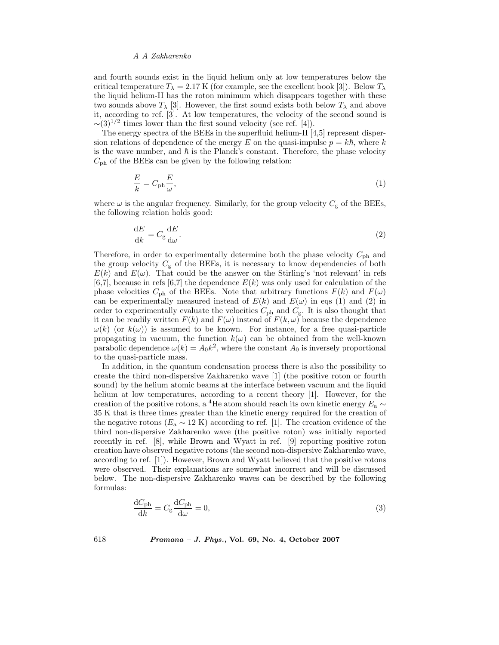and fourth sounds exist in the liquid helium only at low temperatures below the critical temperature  $T_{\lambda} = 2.17$  K (for example, see the excellent book [3]). Below  $T_{\lambda}$ the liquid helium-II has the roton minimum which disappears together with these two sounds above  $T_{\lambda}$  [3]. However, the first sound exists both below  $T_{\lambda}$  and above it, according to ref. [3]. At low temperatures, the velocity of the second sound is  $\sim$ (3)<sup>1/2</sup> times lower than the first sound velocity (see ref. [4]).

The energy spectra of the BEEs in the superfluid helium-II [4,5] represent dispersion relations of dependence of the energy E on the quasi-impulse  $p = k\hbar$ , where k is the wave number, and  $\hbar$  is the Planck's constant. Therefore, the phase velocity  $C_{\rm ph}$  of the BEEs can be given by the following relation:

$$
\frac{E}{k} = C_{\rm ph} \frac{E}{\omega},\tag{1}
$$

where  $\omega$  is the angular frequency. Similarly, for the group velocity  $C_g$  of the BEEs, the following relation holds good:

$$
\frac{\mathrm{d}E}{\mathrm{d}k} = C_{\mathrm{g}} \frac{\mathrm{d}E}{\mathrm{d}\omega}.\tag{2}
$$

Therefore, in order to experimentally determine both the phase velocity  $C_{\rm ph}$  and the group velocity  $C_{\rm g}$  of the BEEs, it is necessary to know dependencies of both  $E(k)$  and  $E(\omega)$ . That could be the answer on the Stirling's 'not relevant' in refs [6,7], because in refs [6,7] the dependence  $E(k)$  was only used for calculation of the phase velocities  $C_{\text{ph}}$  of the BEEs. Note that arbitrary functions  $F(k)$  and  $F(\omega)$ can be experimentally measured instead of  $E(k)$  and  $E(\omega)$  in eqs (1) and (2) in order to experimentally evaluate the velocities  $C_{\text{ph}}$  and  $C_{\text{g}}$ . It is also thought that it can be readily written  $F(k)$  and  $F(\omega)$  instead of  $F(k, \omega)$  because the dependence  $\omega(k)$  (or  $k(\omega)$ ) is assumed to be known. For instance, for a free quasi-particle propagating in vacuum, the function  $k(\omega)$  can be obtained from the well-known parabolic dependence  $\omega(k) = A_0 k^2$ , where the constant  $A_0$  is inversely proportional to the quasi-particle mass.

In addition, in the quantum condensation process there is also the possibility to create the third non-dispersive Zakharenko wave [1] (the positive roton or fourth sound) by the helium atomic beams at the interface between vacuum and the liquid helium at low temperatures, according to a recent theory [1]. However, for the creation of the positive rotons, a <sup>4</sup>He atom should reach its own kinetic energy  $E_a \sim$ 35 K that is three times greater than the kinetic energy required for the creation of the negative rotons ( $E_a \sim 12 \text{ K}$ ) according to ref. [1]. The creation evidence of the third non-dispersive Zakharenko wave (the positive roton) was initially reported recently in ref. [8], while Brown and Wyatt in ref. [9] reporting positive roton creation have observed negative rotons (the second non-dispersive Zakharenko wave, according to ref. [1]). However, Brown and Wyatt believed that the positive rotons were observed. Their explanations are somewhat incorrect and will be discussed below. The non-dispersive Zakharenko waves can be described by the following formulas:

$$
\frac{\mathrm{d}C_{\mathrm{ph}}}{\mathrm{d}k} = C_{\mathrm{g}} \frac{\mathrm{d}C_{\mathrm{ph}}}{\mathrm{d}\omega} = 0,\tag{3}
$$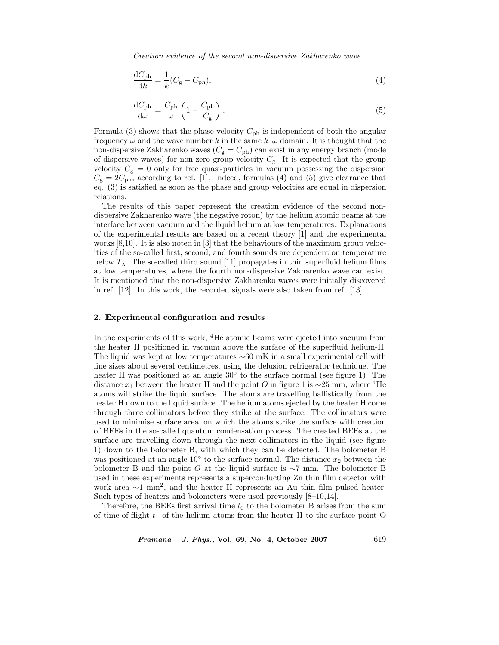$$
\frac{\mathrm{d}C_{\mathrm{ph}}}{\mathrm{d}k} = \frac{1}{k}(C_{\mathrm{g}} - C_{\mathrm{ph}}),\tag{4}
$$

$$
\frac{\mathrm{d}C_{\mathrm{ph}}}{\mathrm{d}\omega} = \frac{C_{\mathrm{ph}}}{\omega} \left( 1 - \frac{C_{\mathrm{ph}}}{C_{\mathrm{g}}} \right). \tag{5}
$$

Formula (3) shows that the phase velocity  $C_{\text{ph}}$  is independent of both the angular frequency  $\omega$  and the wave number k in the same  $k-\omega$  domain. It is thought that the non-dispersive Zakharenko waves  $(C_g = C_{ph})$  can exist in any energy branch (mode<br>of dispersive waves) for non-zero group velocity  $C_{ph}$  is expected that the group of dispersive waves) for non-zero group velocity  $C_g$ . It is expected that the group velocity  $C_{\rm g} = 0$  only for free quasi-particles in vacuum possessing the dispersion  $C_{\rm g} = 2C_{\rm ph}$ , according to ref. [1]. Indeed, formulas (4) and (5) give clearance that eq. (3) is satisfied as soon as the phase and group velocities are equal in dispersion relations.

The results of this paper represent the creation evidence of the second nondispersive Zakharenko wave (the negative roton) by the helium atomic beams at the interface between vacuum and the liquid helium at low temperatures. Explanations of the experimental results are based on a recent theory [1] and the experimental works [8,10]. It is also noted in [3] that the behaviours of the maximum group velocities of the so-called first, second, and fourth sounds are dependent on temperature below  $T_{\lambda}$ . The so-called third sound [11] propagates in thin superfluid helium films at low temperatures, where the fourth non-dispersive Zakharenko wave can exist. It is mentioned that the non-dispersive Zakharenko waves were initially discovered in ref. [12]. In this work, the recorded signals were also taken from ref. [13].

# **2. Experimental configuration and results**

In the experiments of this work, <sup>4</sup>He atomic beams were ejected into vacuum from the heater H positioned in vacuum above the surface of the superfluid helium-II. The liquid was kept at low temperatures  $\sim 60$  mK in a small experimental cell with line sizes about several centimetres, using the delusion refrigerator technique. The heater H was positioned at an angle  $30°$  to the surface normal (see figure 1). The distance  $x_1$  between the heater H and the point O in figure 1 is ∼25 mm, where <sup>4</sup>He atoms will strike the liquid surface. The atoms are travelling ballistically from the heater H down to the liquid surface. The helium atoms ejected by the heater H come through three collimators before they strike at the surface. The collimators were used to minimise surface area, on which the atoms strike the surface with creation of BEEs in the so-called quantum condensation process. The created BEEs at the surface are travelling down through the next collimators in the liquid (see figure 1) down to the bolometer B, with which they can be detected. The bolometer B was positioned at an angle 10 $^{\circ}$  to the surface normal. The distance  $x_2$  between the bolometer B and the point O at the liquid surface is  $\sim$ 7 mm. The bolometer B used in these experiments represents a superconducting Zn thin film detector with work area  $\sim$ 1 mm<sup>2</sup>, and the heater H represents an Au thin film pulsed heater. Such types of heaters and bolometers were used previously [8–10,14].

Therefore, the BEEs first arrival time  $t_0$  to the bolometer B arises from the sum of time-of-flight  $t_1$  of the helium atoms from the heater H to the surface point O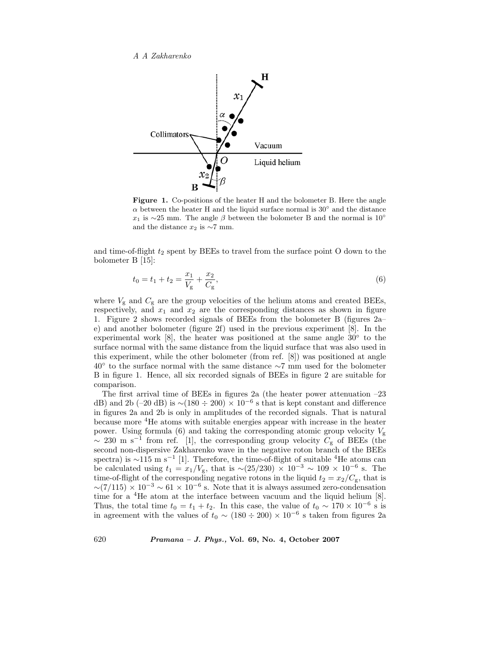

Figure 1. Co-positions of the heater H and the bolometer B. Here the angle  $\alpha$  between the heater H and the liquid surface normal is 30 $\degree$  and the distance  $x_1$  is ∼25 mm. The angle  $\beta$  between the bolometer B and the normal is 10<sup>°</sup> and the distance  $x_2$  is ∼7 mm.

and time-of-flight  $t_2$  spent by BEEs to travel from the surface point O down to the bolometer B [15]:

$$
t_0 = t_1 + t_2 = \frac{x_1}{V_g} + \frac{x_2}{C_g},\tag{6}
$$

where  $V_{\rm g}$  and  $C_{\rm g}$  are the group velocities of the helium atoms and created BEEs, respectively, and  $x_1$  and  $x_2$  are the corresponding distances as shown in figure 1. Figure 2 shows recorded signals of BEEs from the bolometer B (figures 2a– e) and another bolometer (figure 2f) used in the previous experiment [8]. In the experimental work [8], the heater was positioned at the same angle 30◦ to the surface normal with the same distance from the liquid surface that was also used in this experiment, while the other bolometer (from ref. [8]) was positioned at angle 40◦ to the surface normal with the same distance ∼7 mm used for the bolometer B in figure 1. Hence, all six recorded signals of BEEs in figure 2 are suitable for comparison.

The first arrival time of BEEs in figures 2a (the heater power attenuation –23 dB) and 2b (–20 dB) is  $\sim$ (180 ÷ 200) × 10<sup>-6</sup> s that is kept constant and difference in figures 2a and 2b is only in amplitudes of the recorded signals. That is natural because more <sup>4</sup>He atoms with suitable energies appear with increase in the heater power. Using formula (6) and taking the corresponding atomic group velocity  $V_g$  $\sim$  230 m s<sup>−1</sup> from ref. [1], the corresponding group velocity  $C_{\rm g}$  of BEEs (the second non-dispersive Zakharenko wave in the negative roton branch of the BEEs spectra) is ∼115 m s<sup>-1</sup> [1]. Therefore, the time-of-flight of suitable <sup>4</sup>He atoms can be calculated using  $t_1 = x_1/V_g$ , that is ~(25/230) × 10<sup>-3</sup> ~ 109 × 10<sup>-6</sup> s. The time-of-flight of the corresponding negative rotons in the liquid  $t_2 = x_2/C_g$ , that is  $\sim$ (7/115) × 10<sup>-3</sup> ∼ 61 × 10<sup>-6</sup> s. Note that it is always assumed zero-condensation time for a <sup>4</sup>He atom at the interface between vacuum and the liquid helium [8]. Thus, the total time  $t_0 = t_1 + t_2$ . In this case, the value of  $t_0 \sim 170 \times 10^{-6}$  s is in agreement with the values of  $t_0 \sim (180 \div 200) \times 10^{-6}$  s taken from figures 2a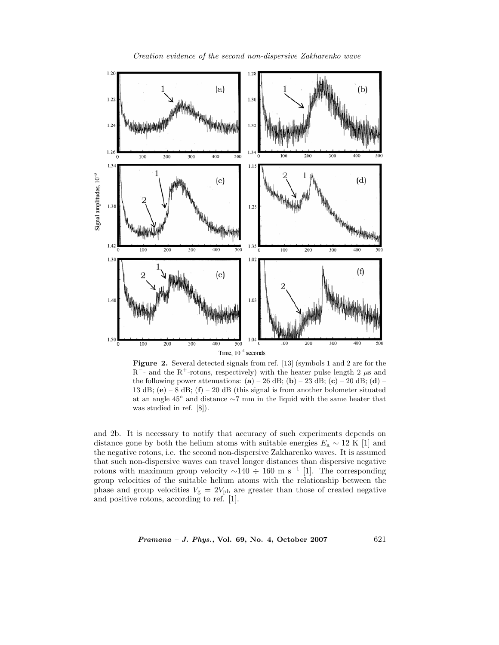

Figure 2. Several detected signals from ref. [13] (symbols 1 and 2 are for the R<sup>-</sup>- and the R<sup>+</sup>-rotons, respectively) with the heater pulse length 2  $\mu$ s and the following power attenuations:  $(a) - 26$  dB;  $(b) - 23$  dB;  $(c) - 20$  dB;  $(d)$ 13 dB; (**e**) – 8 dB; (**f**) – 20 dB (this signal is from another bolometer situated at an angle  $45°$  and distance ∼7 mm in the liquid with the same heater that was studied in ref. [8]).

and 2b. It is necessary to notify that accuracy of such experiments depends on distance gone by both the helium atoms with suitable energies  $E_a \sim 12 \text{ K } [1]$  and the negative rotons, i.e. the second non-dispersive Zakharenko waves. It is assumed that such non-dispersive waves can travel longer distances than dispersive negative rotons with maximum group velocity  $\sim$ 140 ÷ 160 m s<sup>-1</sup> [1]. The corresponding group velocities of the suitable helium atoms with the relationship between the phase and group velocities  $V_{\rm g} = 2V_{\rm ph}$  are greater than those of created negative and positive rotons, according to ref. [1].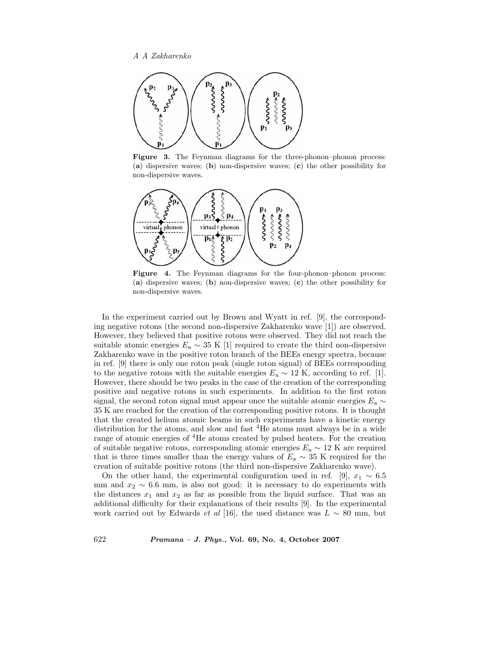

**Figure 3.** The Feynman diagrams for the three-phonon–phonon process: (**a**) dispersive waves; (**b**) non-dispersive waves; (**c**) the other possibility for non-dispersive waves.



Figure 4. The Feynman diagrams for the four-phonon-phonon process: (**a**) dispersive waves; (**b**) non-dispersive waves; (**c**) the other possibility for non-dispersive waves.

In the experiment carried out by Brown and Wyatt in ref. [9], the corresponding negative rotons (the second non-dispersive Zakharenko wave [1]) are observed. However, they believed that positive rotons were observed. They did not reach the suitable atomic energies  $E_a \sim 35 \text{ K}$  [1] required to create the third non-dispersive Zakharenko wave in the positive roton branch of the BEEs energy spectra, because in ref. [9] there is only one roton peak (single roton signal) of BEEs corresponding to the negative rotons with the suitable energies  $E_a \sim 12$  K, according to ref. [1]. However, there should be two peaks in the case of the creation of the corresponding positive and negative rotons in such experiments. In addition to the first roton signal, the second roton signal must appear once the suitable atomic energies  $E_a \sim$ 35 K are reached for the creation of the corresponding positive rotons. It is thought that the created helium atomic beams in such experiments have a kinetic energy distribution for the atoms, and slow and fast <sup>4</sup>He atoms must always be in a wide range of atomic energies of <sup>4</sup>He atoms created by pulsed heaters. For the creation of suitable negative rotons, corresponding atomic energies  $E_a \sim 12$  K are required that is three times smaller than the energy values of  $E_a \sim 35$  K required for the creation of suitable positive rotons (the third non-dispersive Zakharenko wave).

On the other hand, the experimental configuration used in ref. [9],  $x_1 \sim 6.5$ mm and  $x_2 \sim 6.6$  mm, is also not good: it is necessary to do experiments with the distances  $x_1$  and  $x_2$  as far as possible from the liquid surface. That was an additional difficulty for their explanations of their results [9]. In the experimental work carried out by Edwards *et al* [16], the used distance was <sup>L</sup> <sup>∼</sup> 80 mm, but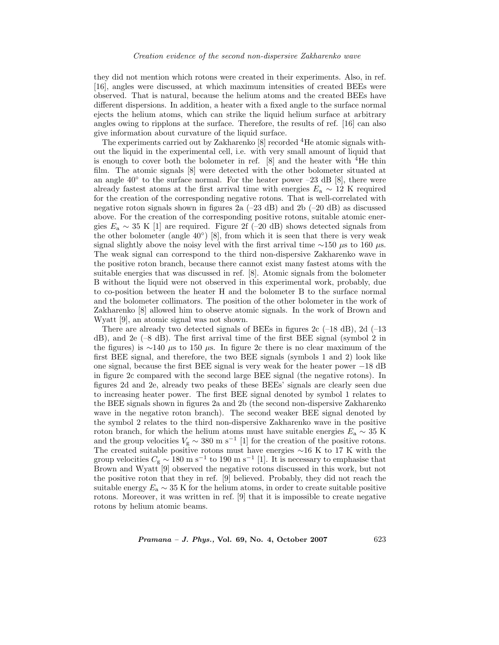they did not mention which rotons were created in their experiments. Also, in ref. [16], angles were discussed, at which maximum intensities of created BEEs were observed. That is natural, because the helium atoms and the created BEEs have different dispersions. In addition, a heater with a fixed angle to the surface normal ejects the helium atoms, which can strike the liquid helium surface at arbitrary angles owing to ripplons at the surface. Therefore, the results of ref. [16] can also give information about curvature of the liquid surface.

The experiments carried out by Zakharenko [8] recorded <sup>4</sup>He atomic signals without the liquid in the experimental cell, i.e. with very small amount of liquid that is enough to cover both the bolometer in ref.  $[8]$  and the heater with  $^{4}$ He thin film. The atomic signals [8] were detected with the other bolometer situated at an angle  $40^\circ$  to the surface normal. For the heater power  $-23$  dB [8], there were already fastest atoms at the first arrival time with energies  $E_a \sim 12$  K required for the creation of the corresponding negative rotons. That is well-correlated with negative roton signals shown in figures  $2a$  (–23 dB) and  $2b$  (–20 dB) as discussed above. For the creation of the corresponding positive rotons, suitable atomic energies  $E_a \sim 35$  K [1] are required. Figure 2f (–20 dB) shows detected signals from the other bolometer (angle  $40°$ ) [8], from which it is seen that there is very weak signal slightly above the noisy level with the first arrival time ∼150 μs to 160 μs. The weak signal can correspond to the third non-dispersive Zakharenko wave in the positive roton branch, because there cannot exist many fastest atoms with the suitable energies that was discussed in ref. [8]. Atomic signals from the bolometer B without the liquid were not observed in this experimental work, probably, due to co-position between the heater H and the bolometer B to the surface normal and the bolometer collimators. The position of the other bolometer in the work of Zakharenko [8] allowed him to observe atomic signals. In the work of Brown and Wyatt [9], an atomic signal was not shown.

There are already two detected signals of BEEs in figures 2c  $(-18 \text{ dB})$ , 2d  $(-13 \text{ dB})$ dB), and 2e (–8 dB). The first arrival time of the first BEE signal (symbol 2 in the figures) is ∼140  $\mu$ s to 150  $\mu$ s. In figure 2c there is no clear maximum of the first BEE signal, and therefore, the two BEE signals (symbols 1 and 2) look like one signal, because the first BEE signal is very weak for the heater power −18 dB in figure 2c compared with the second large BEE signal (the negative rotons). In figures 2d and 2e, already two peaks of these BEEs' signals are clearly seen due to increasing heater power. The first BEE signal denoted by symbol 1 relates to the BEE signals shown in figures 2a and 2b (the second non-dispersive Zakharenko wave in the negative roton branch). The second weaker BEE signal denoted by the symbol 2 relates to the third non-dispersive Zakharenko wave in the positive roton branch, for which the helium atoms must have suitable energies  $E_a \sim 35$  K and the group velocities  $V_g \sim 380 \text{ m s}^{-1}$  [1] for the creation of the positive rotons. The created suitable positive rotons must have energies ∼16 K to 17 K with the group velocities  $C_g \sim 180 \text{ m s}^{-1}$  to 190 m s<sup>-1</sup> [1]. It is necessary to emphasise that Brown and Wyatt [9] observed the negative rotons discussed in this work, but not the positive roton that they in ref. [9] believed. Probably, they did not reach the suitable energy  $E_a \sim 35$  K for the helium atoms, in order to create suitable positive rotons. Moreover, it was written in ref. [9] that it is impossible to create negative rotons by helium atomic beams.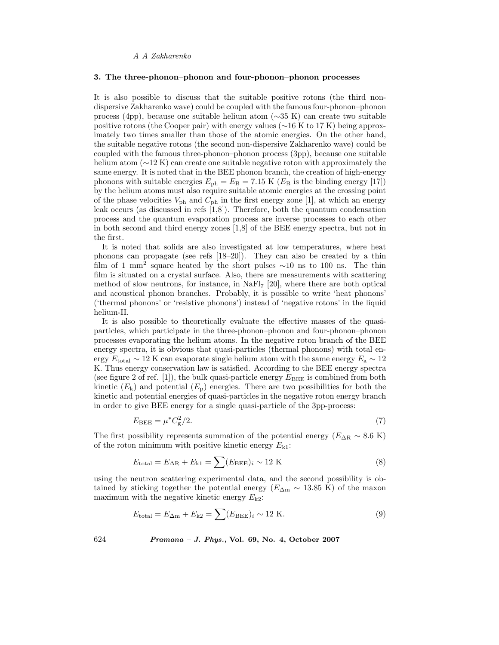#### **3. The three-phonon–phonon and four-phonon–phonon processes**

It is also possible to discuss that the suitable positive rotons (the third nondispersive Zakharenko wave) could be coupled with the famous four-phonon–phonon process (4pp), because one suitable helium atom (∼35 K) can create two suitable positive rotons (the Cooper pair) with energy values (∼16 K to 17 K) being approximately two times smaller than those of the atomic energies. On the other hand, the suitable negative rotons (the second non-dispersive Zakharenko wave) could be coupled with the famous three-phonon–phonon process (3pp), because one suitable helium atom (∼12 K) can create one suitable negative roton with approximately the same energy. It is noted that in the BEE phonon branch, the creation of high-energy phonons with suitable energies  $E_{\rm ph} = E_{\rm B} = 7.15 \, {\rm K}$  ( $E_{\rm B}$  is the binding energy [17]) by the helium atoms must also require suitable atomic energies at the crossing point of the phase velocities  $V_{\text{ph}}$  and  $C_{\text{ph}}$  in the first energy zone [1], at which an energy leak occurs (as discussed in refs  $[1,8]$ ). Therefore, both the quantum condensation process and the quantum evaporation process are inverse processes to each other in both second and third energy zones [1,8] of the BEE energy spectra, but not in the first.

It is noted that solids are also investigated at low temperatures, where heat phonons can propagate (see refs [18–20]). They can also be created by a thin film of 1 mm<sup>2</sup> square heated by the short pulses  $\sim$ 10 ns to 100 ns. The thin film is situated on a crystal surface. Also, there are measurements with scattering method of slow neutrons, for instance, in  $\text{NaFl}_7$  [20], where there are both optical and acoustical phonon branches. Probably, it is possible to write 'heat phonons' ('thermal phonons' or 'resistive phonons') instead of 'negative rotons' in the liquid helium-II.

It is also possible to theoretically evaluate the effective masses of the quasiparticles, which participate in the three-phonon–phonon and four-phonon–phonon processes evaporating the helium atoms. In the negative roton branch of the BEE energy spectra, it is obvious that quasi-particles (thermal phonons) with total energy  $E_{\text{total}} \sim 12 \text{ K}$  can evaporate single helium atom with the same energy  $E_{\text{a}} \sim 12$ K. Thus energy conservation law is satisfied. According to the BEE energy spectra (see figure 2 of ref. [1]), the bulk quasi-particle energy  $E_{\text{BEE}}$  is combined from both kinetic  $(E_k)$  and potential  $(E_p)$  energies. There are two possibilities for both the kinetic and potential energies of quasi-particles in the negative roton energy branch in order to give BEE energy for a single quasi-particle of the 3pp-process:

$$
E_{\rm BEE} = \mu^* C_{\rm g}^2 / 2. \tag{7}
$$

The first possibility represents summation of the potential energy ( $E_{\rm AR} \sim 8.6$  K) of the roton minimum with positive kinetic energy  $E_{k1}$ :

$$
E_{\text{total}} = E_{\Delta \text{R}} + E_{\text{k1}} = \sum (E_{\text{BEE}})_i \sim 12 \text{ K}
$$
 (8)

using the neutron scattering experimental data, and the second possibility is obtained by sticking together the potential energy ( $E_{\Delta m} \sim 13.85$  K) of the maxon maximum with the negative kinetic energy  $E_{k2}$ :

$$
E_{\text{total}} = E_{\Delta m} + E_{\text{k2}} = \sum (E_{\text{BEE}})_i \sim 12 \text{ K.}
$$
 (9)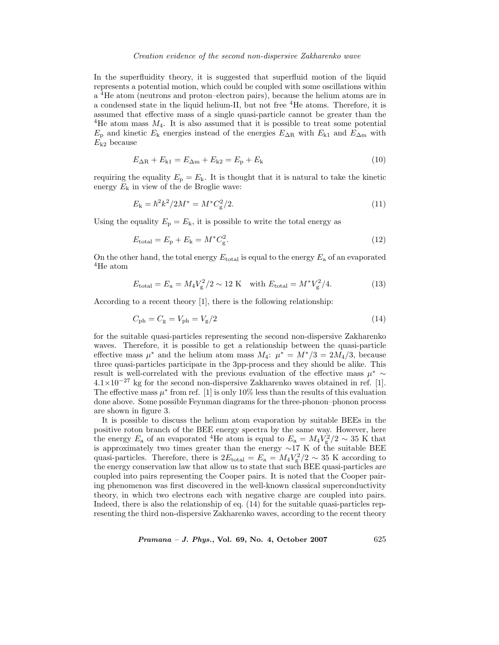In the superfluidity theory, it is suggested that superfluid motion of the liquid represents a potential motion, which could be coupled with some oscillations within a <sup>4</sup>He atom (neutrons and proton–electron pairs), because the helium atoms are in a condensed state in the liquid helium-II, but not free <sup>4</sup>He atoms. Therefore, it is assumed that effective mass of a single quasi-particle cannot be greater than the <sup>4</sup>He atom mass  $M_4$ . It is also assumed that it is possible to treat some potential  $E_{\rm p}$  and kinetic  $E_{\rm k}$  energies instead of the energies  $E_{\rm \Delta R}$  with  $E_{\rm k1}$  and  $E_{\rm \Delta m}$  with  $E_{k2}$  because

$$
E_{\Delta R} + E_{k1} = E_{\Delta m} + E_{k2} = E_p + E_k
$$
\n(10)

requiring the equality  $E_p = E_k$ . It is thought that it is natural to take the kinetic energy  $E_k$  in view of the de Broglie wave:

$$
E_{\rm k} = \hbar^2 k^2 / 2M^* = M^* C_{\rm g}^2 / 2. \tag{11}
$$

Using the equality  $E_p = E_k$ , it is possible to write the total energy as

$$
E_{\text{total}} = E_{\text{p}} + E_{\text{k}} = M^* C_{\text{g}}^2. \tag{12}
$$

On the other hand, the total energy  $E_{total}$  is equal to the energy  $E_a$  of an evaporated <sup>4</sup>He atom

$$
E_{\text{total}} = E_{\text{a}} = M_4 V_{\text{g}}^2 / 2 \sim 12 \text{ K} \quad \text{with } E_{\text{total}} = M^* V_{\text{g}}^2 / 4. \tag{13}
$$

According to a recent theory [1], there is the following relationship:

$$
C_{\rm ph} = C_{\rm g} = V_{\rm ph} = V_{\rm g}/2 \tag{14}
$$

for the suitable quasi-particles representing the second non-dispersive Zakharenko waves. Therefore, it is possible to get a relationship between the quasi-particle effective mass  $\mu^*$  and the helium atom mass  $M_4$ :  $\mu^* = M^*/3 = 2M_4/3$ , because three quasi-particles participate in the 3pp-process and they should be alike. This result is well-correlated with the previous evaluation of the effective mass  $\mu^* \sim$  $4.1\times10^{-27}$  kg for the second non-dispersive Zakharenko waves obtained in ref. [1]. The effective mass  $\mu^*$  from ref. [1] is only 10% less than the results of this evaluation done above. Some possible Feynman diagrams for the three-phonon–phonon process are shown in figure 3.

It is possible to discuss the helium atom evaporation by suitable BEEs in the positive roton branch of the BEE energy spectra by the same way. However, here the energy  $E_a$  of an evaporated <sup>4</sup>He atom is equal to  $E_a = M_4 V_g^2/2 \sim 35$  K that<br>is approximately two times greater than the energy  $\sim 17$  K of the suitable BEE is approximately two times greater than the energy ∼17 K of the suitable BEE quasi-particles. Therefore, there is  $2E_{\text{total}} = E_a = M_4 V_g^2 / 2 \sim 35 \text{ K}$  according to the energy conservation law that allow us to state that such BEE quasi-particles are the energy conservation law that allow us to state that such BEE quasi-particles are coupled into pairs representing the Cooper pairs. It is noted that the Cooper pairing phenomenon was first discovered in the well-known classical superconductivity theory, in which two electrons each with negative charge are coupled into pairs. Indeed, there is also the relationship of eq. (14) for the suitable quasi-particles representing the third non-dispersive Zakharenko waves, according to the recent theory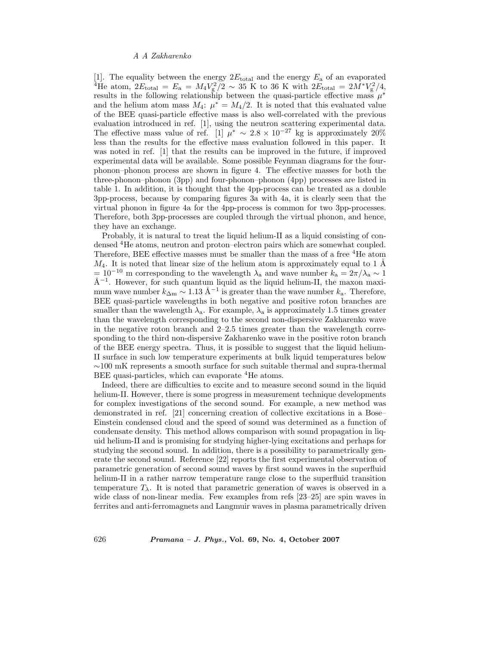[1]. The equality between the energy  $2E_{\text{total}}$  and the energy  $E_{\text{a}}$  of an evaporated <sup>4</sup>He atom,  $2E_{\text{total}} = E_a = M_4 V_g^2 / 2 \sim 35 \text{ K}$  to 36 K with  $2E_{\text{total}} = 2M^* V_g^2 / 4$ , results in the following relationship between the quasi-particle effective mass  $\mu^*$ and the helium atom mass  $M_4$ :  $\mu^* = M_4/2$ . It is noted that this evaluated value of the BEE quasi-particle effective mass is also well-correlated with the previous evaluation introduced in ref. [1], using the neutron scattering experimental data. The effective mass value of ref. [1]  $\mu^* \sim 2.8 \times 10^{-27}$  kg is approximately 20% less than the results for the effective mass evaluation followed in this paper. It was noted in ref. [1] that the results can be improved in the future, if improved experimental data will be available. Some possible Feynman diagrams for the fourphonon–phonon process are shown in figure 4. The effective masses for both the three-phonon–phonon (3pp) and four-phonon–phonon (4pp) processes are listed in table 1. In addition, it is thought that the 4pp-process can be treated as a double 3pp-process, because by comparing figures 3a with 4a, it is clearly seen that the virtual phonon in figure 4a for the 4pp-process is common for two 3pp-processes. Therefore, both 3pp-processes are coupled through the virtual phonon, and hence, they have an exchange.

Probably, it is natural to treat the liquid helium-II as a liquid consisting of condensed <sup>4</sup>He atoms, neutron and proton–electron pairs which are somewhat coupled. Therefore, BEE effective masses must be smaller than the mass of a free <sup>4</sup>He atom  $M_4$ . It is noted that linear size of the helium atom is approximately equal to 1 Å =  $10^{-10}$  m corresponding to the wavelength  $\lambda_a$  and wave number  $k_a = 2\pi/\lambda_a \sim 1$  $Å^{-1}$ . However, for such quantum liquid as the liquid helium-II, the maxon maximum wave number  $k_{\Delta m} \sim 1.13 \text{ Å}^{-1}$  is greater than the wave number  $k_{\rm a}$ . Therefore, BEE quasi-particle wavelengths in both negative and positive roton branches are smaller than the wavelength  $\lambda_a$ . For example,  $\lambda_a$  is approximately 1.5 times greater than the wavelength corresponding to the second non-dispersive Zakharenko wave in the negative roton branch and  $2-2.5$  times greater than the wavelength corresponding to the third non-dispersive Zakharenko wave in the positive roton branch of the BEE energy spectra. Thus, it is possible to suggest that the liquid helium-II surface in such low temperature experiments at bulk liquid temperatures below ∼100 mK represents a smooth surface for such suitable thermal and supra-thermal BEE quasi-particles, which can evaporate <sup>4</sup>He atoms.

Indeed, there are difficulties to excite and to measure second sound in the liquid helium-II. However, there is some progress in measurement technique developments for complex investigations of the second sound. For example, a new method was demonstrated in ref. [21] concerning creation of collective excitations in a Bose– Einstein condensed cloud and the speed of sound was determined as a function of condensate density. This method allows comparison with sound propagation in liquid helium-II and is promising for studying higher-lying excitations and perhaps for studying the second sound. In addition, there is a possibility to parametrically generate the second sound. Reference [22] reports the first experimental observation of parametric generation of second sound waves by first sound waves in the superfluid helium-II in a rather narrow temperature range close to the superfluid transition temperature  $T_{\lambda}$ . It is noted that parametric generation of waves is observed in a wide class of non-linear media. Few examples from refs [23–25] are spin waves in ferrites and anti-ferromagnets and Langmuir waves in plasma parametrically driven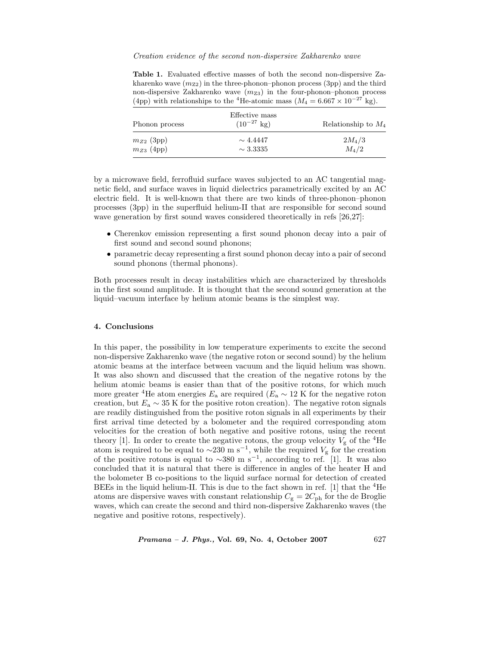*Creation evidence of the second non-dispersive Zakharenko wave*

**Table 1.** Evaluated effective masses of both the second non-dispersive Zakharenko wave  $(m_{Z2})$  in the three-phonon–phonon process (3pp) and the third non-dispersive Zakharenko wave  $(m_{Z3})$  in the four-phonon–phonon process (4pp) with relationships to the <sup>4</sup>He-atomic mass ( $M_4 = 6.667 \times 10^{-27}$  kg).

| Phonon process | Effective mass<br>$(10^{-27} \text{ kg})$ | Relationship to $M_4$ |
|----------------|-------------------------------------------|-----------------------|
| $m_{Z2}$ (3pp) | $\sim 4.4447$                             | $2M_4/3$              |
| $m_{Z3}$ (4pp) | $\sim 3.3335$                             | $M_4/2$               |

by a microwave field, ferrofluid surface waves subjected to an AC tangential magnetic field, and surface waves in liquid dielectrics parametrically excited by an AC electric field. It is well-known that there are two kinds of three-phonon–phonon processes (3pp) in the superfluid helium-II that are responsible for second sound wave generation by first sound waves considered theoretically in refs [26,27]:

- Cherenkov emission representing a first sound phonon decay into a pair of first sound and second sound phonons;
- parametric decay representing a first sound phonon decay into a pair of second sound phonons (thermal phonons).

Both processes result in decay instabilities which are characterized by thresholds in the first sound amplitude. It is thought that the second sound generation at the liquid–vacuum interface by helium atomic beams is the simplest way.

# **4. Conclusions**

In this paper, the possibility in low temperature experiments to excite the second non-dispersive Zakharenko wave (the negative roton or second sound) by the helium atomic beams at the interface between vacuum and the liquid helium was shown. It was also shown and discussed that the creation of the negative rotons by the helium atomic beams is easier than that of the positive rotons, for which much more greater <sup>4</sup>He atom energies  $E_a$  are required ( $E_a \sim 12$  K for the negative roton creation, but  $E_a \sim 35$  K for the positive roton creation). The negative roton signals are readily distinguished from the positive roton signals in all experiments by their first arrival time detected by a bolometer and the required corresponding atom velocities for the creation of both negative and positive rotons, using the recent theory [1]. In order to create the negative rotons, the group velocity  $V<sub>g</sub>$  of the <sup>4</sup>He atom is required to be equal to ∼230 m s<sup>-1</sup>, while the required  $V_g$  for the creation of the positive retors is equal to  $\epsilon$ <sup>280</sup> m s<sup>-1</sup>, according to ref. [1] It was also of the positive rotons is equal to ∼380 m s<sup>-1</sup>, according to ref. [1]. It was also concluded that it is natural that there is difference in angles of the heater H and the bolometer B co-positions to the liquid surface normal for detection of created BEEs in the liquid helium-II. This is due to the fact shown in ref. [1] that the  ${}^{4}$ He atoms are dispersive waves with constant relationship  $C_{\rm g} = 2C_{\rm ph}$  for the de Broglie waves, which can create the second and third non-dispersive Zakharenko waves (the negative and positive rotons, respectively).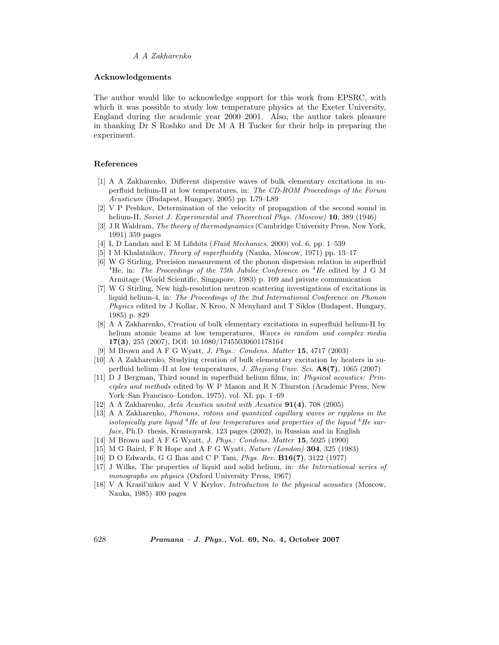# **Acknowledgements**

The author would like to acknowledge support for this work from EPSRC, with which it was possible to study low temperature physics at the Exeter University, England during the academic year 2000–2001. Also, the author takes pleasure in thanking Dr S Roshko and Dr M A H Tucker for their help in preparing the experiment.

#### **References**

- [1] A A Zakharenko, Different dispersive waves of bulk elementary excitations in superfluid helium-II at low temperatures, in: *The CD-ROM Proceedings of the Forum Acusticum* (Budapest, Hungary, 2005) pp. L79–L89
- [2] V P Peshkov, Determination of the velocity of propagation of the second sound in helium-II, *Soviet J. Experimental and Theoretical Phys. (Moscow)* **10**, 389 (1946)
- [3] J R Waldram, *The theory of thermodynamics* (Cambridge University Press, New York, 1991) 359 pages
- [4] L D Landau and E M Lifshits (*Fluid Mechanics*, 2000) vol. 6, pp. 1–539
- [5] I M Khalatnikov, *Theory of superfluidity* (Nauka, Moscow, 1971) pp. 13–17
- [6] W G Stirling, Precision measurement of the phonon dispersion relation in superfluid <sup>4</sup>He, in: *The Proceedings of the 75th Jubilee Conference on* <sup>4</sup>*He* edited by J G M Armitage (World Scientific, Singapore, 1983) p. 109 and private communication
- [7] W G Stirling, New high-resolution neutron scattering investigations of excitations in liquid helium-4, in: *The Proceedings of the 2nd International Conference on Phonon Physics* edited by J Kollar, N Kroo, N Menyhard and T Siklos (Budapest, Hungary, 1985) p. 829
- [8] A A Zakharenko, Creation of bulk elementary excitations in superfluid helium-II by helium atomic beams at low temperatures, *Waves in random and complex media* **17(3)**, 255 (2007), DOI: 10.1080/17455030601178164
- [9] M Brown and A F G Wyatt, *J. Phys.: Condens. Matter* **15**, 4717 (2003)
- [10] A A Zakharenko, Studying creation of bulk elementary excitation by heaters in superfluid helium–II at low temperatures, *J. Zhejiang Univ. Sci.* **A8(7)**, 1065 (2007)
- [11] D J Bergman, Third sound in superfluid helium films, in: *Physical acoustics: Principles and methods* edited by W P Mason and R N Thurston (Academic Press, New York–San Francisco–London, 1975), vol. XI, pp. 1–69
- [12] A A Zakharenko, *Acta Acustica united with Acustica* **91(4)**, 708 (2005)
- [13] A A Zakharenko, *Phonons, rotons and quantized capillary waves or ripplons in the isotopically pure liquid* <sup>4</sup>*He at low temperatures and properties of the liquid* <sup>4</sup>*He surface*, Ph.D. thesis, Krasnoyarsk, 123 pages (2002), in Russian and in English
- [14] M Brown and A F G Wyatt, *J. Phys.: Condens. Matter* **15**, 5025 (1990)
- [15] M G Baird, F R Hope and A F G Wyatt, *Nature (London)* **304**, 325 (1983)
- [16] D O Edwards, G G Ihas and C P Tam, *Phys. Rev.* **B16(7)**, 3122 (1977)
- [17] J Wilks, The properties of liquid and solid helium, in: *the International series of monographs on physics* (Oxford University Press, 1967)
- [18] V A Krasil'nikov and V V Krylov, *Introduction to the physical acoustics* (Moscow, Nauka, 1985) 400 pages